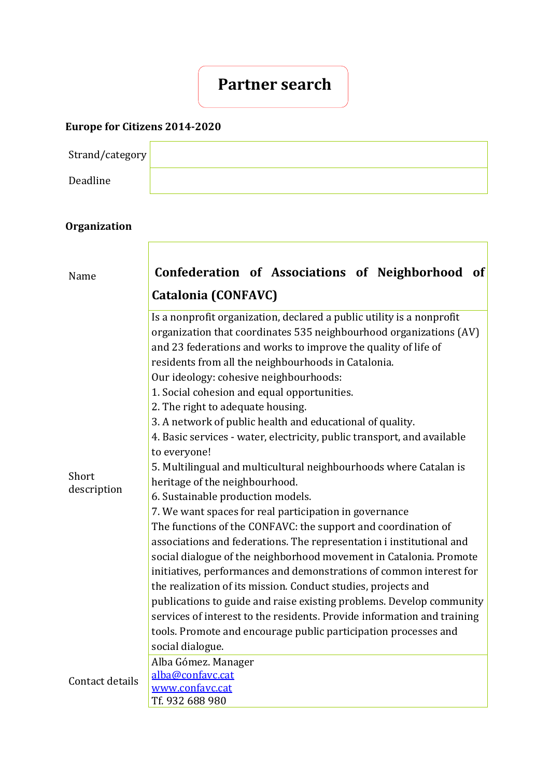## **Partner search**

## **Europe for Citizens 2014-2020**

| Strand/category |  |
|-----------------|--|
| Deadline        |  |

## **Organization**

| Name                 | Confederation of Associations of Neighborhood of                                                                                                                                                                                                                                                                                                                                                                                                                                                                                                                                                                                |
|----------------------|---------------------------------------------------------------------------------------------------------------------------------------------------------------------------------------------------------------------------------------------------------------------------------------------------------------------------------------------------------------------------------------------------------------------------------------------------------------------------------------------------------------------------------------------------------------------------------------------------------------------------------|
|                      | <b>Catalonia (CONFAVC)</b>                                                                                                                                                                                                                                                                                                                                                                                                                                                                                                                                                                                                      |
| Short<br>description | Is a nonprofit organization, declared a public utility is a nonprofit<br>organization that coordinates 535 neighbourhood organizations (AV)<br>and 23 federations and works to improve the quality of life of<br>residents from all the neighbourhoods in Catalonia.<br>Our ideology: cohesive neighbourhoods:<br>1. Social cohesion and equal opportunities.<br>2. The right to adequate housing.<br>3. A network of public health and educational of quality.<br>4. Basic services - water, electricity, public transport, and available<br>to everyone!<br>5. Multilingual and multicultural neighbourhoods where Catalan is |
|                      | heritage of the neighbourhood.<br>6. Sustainable production models.                                                                                                                                                                                                                                                                                                                                                                                                                                                                                                                                                             |
|                      | 7. We want spaces for real participation in governance                                                                                                                                                                                                                                                                                                                                                                                                                                                                                                                                                                          |
|                      | The functions of the CONFAVC: the support and coordination of                                                                                                                                                                                                                                                                                                                                                                                                                                                                                                                                                                   |
|                      | associations and federations. The representation i institutional and<br>social dialogue of the neighborhood movement in Catalonia. Promote<br>initiatives, performances and demonstrations of common interest for                                                                                                                                                                                                                                                                                                                                                                                                               |
|                      | the realization of its mission. Conduct studies, projects and<br>publications to guide and raise existing problems. Develop community<br>services of interest to the residents. Provide information and training<br>tools. Promote and encourage public participation processes and<br>social dialogue.                                                                                                                                                                                                                                                                                                                         |
| Contact details      | Alba Gómez. Manager<br>alba@confavc.cat<br>www.confavc.cat<br>Tf. 932 688 980                                                                                                                                                                                                                                                                                                                                                                                                                                                                                                                                                   |